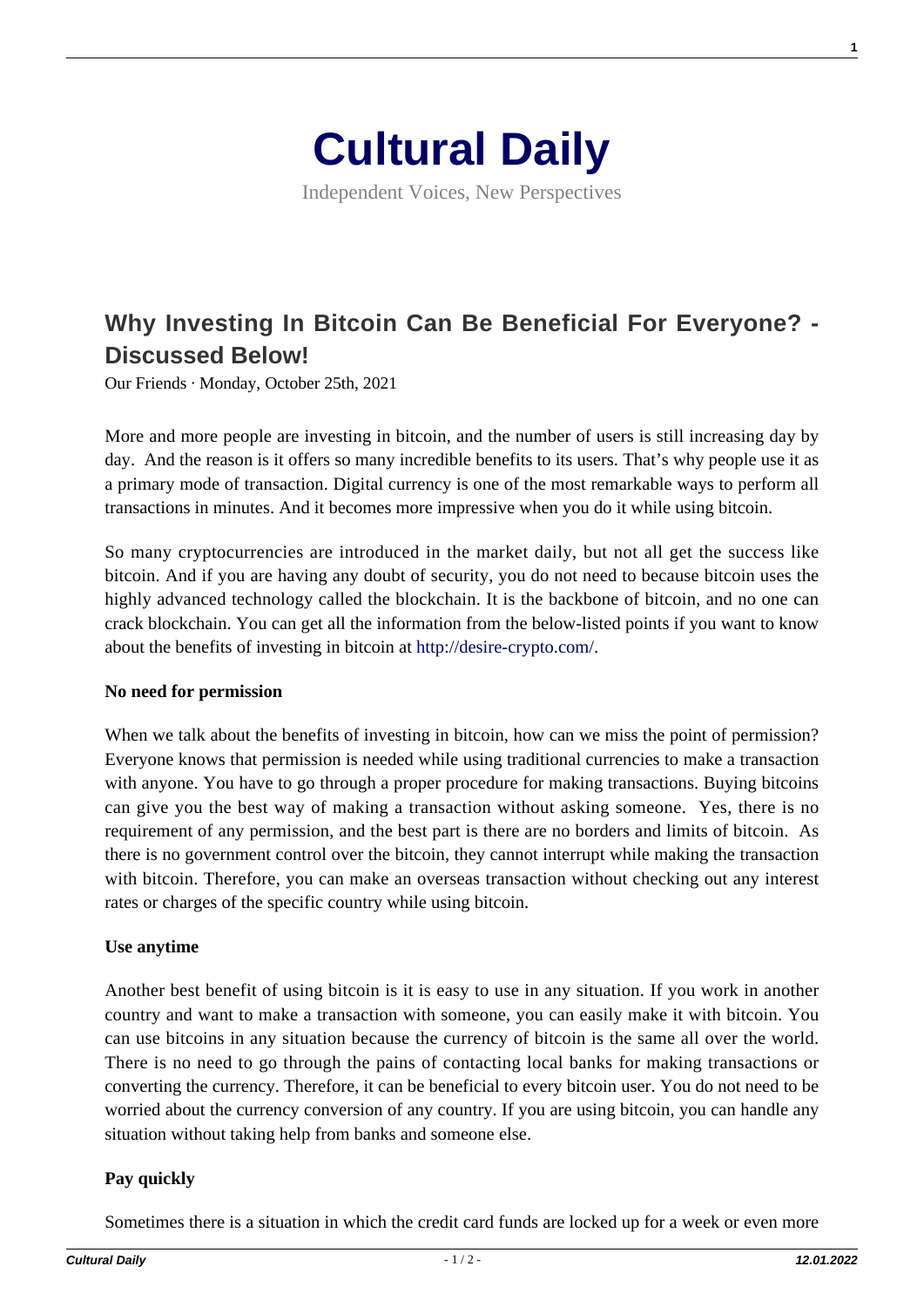

Independent Voices, New Perspectives

# **[Why Investing In Bitcoin Can Be Beneficial For Everyone? -](https://culturaldaily.com/why-investing-in-bitcoin-can-be-beneficial-for-everyone-discussed-below/) [Discussed Below!](https://culturaldaily.com/why-investing-in-bitcoin-can-be-beneficial-for-everyone-discussed-below/)**

Our Friends · Monday, October 25th, 2021

More and more people are investing in bitcoin, and the number of users is still increasing day by day. And the reason is it offers so many incredible benefits to its users. That's why people use it as a primary mode of transaction. Digital currency is one of the most remarkable ways to perform all transactions in minutes. And it becomes more impressive when you do it while using bitcoin.

So many cryptocurrencies are introduced in the market daily, but not all get the success like bitcoin. And if you are having any doubt of security, you do not need to because bitcoin uses the highly advanced technology called the blockchain. It is the backbone of bitcoin, and no one can crack blockchain. You can get all the information from the below-listed points if you want to know about the benefits of investing in bitcoin at [http://desire-crypto.com/.](https://desire-crypto.com/)

#### **No need for permission**

When we talk about the benefits of investing in bitcoin, how can we miss the point of permission? Everyone knows that permission is needed while using traditional currencies to make a transaction with anyone. You have to go through a proper procedure for making transactions. Buying bitcoins can give you the best way of making a transaction without asking someone. Yes, there is no requirement of any permission, and the best part is there are no borders and limits of bitcoin. As there is no government control over the bitcoin, they cannot interrupt while making the transaction with bitcoin. Therefore, you can make an overseas transaction without checking out any interest rates or charges of the specific country while using bitcoin.

#### **Use anytime**

Another best benefit of using bitcoin is it is easy to use in any situation. If you work in another country and want to make a transaction with someone, you can easily make it with bitcoin. You can use bitcoins in any situation because the currency of bitcoin is the same all over the world. There is no need to go through the pains of contacting local banks for making transactions or converting the currency. Therefore, it can be beneficial to every bitcoin user. You do not need to be worried about the currency conversion of any country. If you are using bitcoin, you can handle any situation without taking help from banks and someone else.

## **Pay quickly**

Sometimes there is a situation in which the credit card funds are locked up for a week or even more

**1**